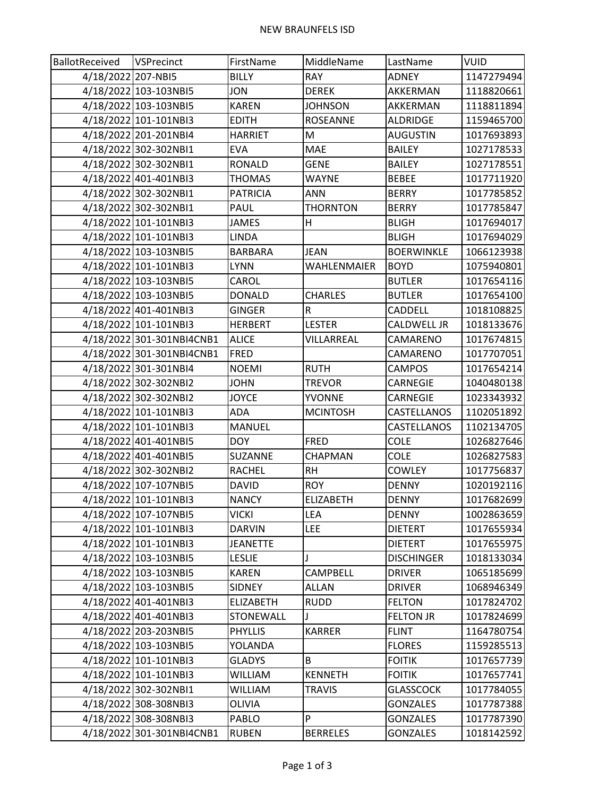| BallotReceived     | <b>VSPrecinct</b>         | FirstName       | MiddleName       | LastName           | <b>VUID</b> |
|--------------------|---------------------------|-----------------|------------------|--------------------|-------------|
| 4/18/2022 207-NBI5 |                           | <b>BILLY</b>    | <b>RAY</b>       | <b>ADNEY</b>       | 1147279494  |
|                    | 4/18/2022 103-103NBI5     | <b>JON</b>      | <b>DEREK</b>     | AKKERMAN           | 1118820661  |
|                    | 4/18/2022 103-103NBI5     | <b>KAREN</b>    | <b>JOHNSON</b>   | AKKERMAN           | 1118811894  |
|                    | 4/18/2022 101-101NBI3     | <b>EDITH</b>    | <b>ROSEANNE</b>  | ALDRIDGE           | 1159465700  |
|                    | 4/18/2022 201-201NBI4     | <b>HARRIET</b>  | M                | <b>AUGUSTIN</b>    | 1017693893  |
|                    | 4/18/2022 302-302NBI1     | <b>EVA</b>      | <b>MAE</b>       | <b>BAILEY</b>      | 1027178533  |
|                    | 4/18/2022 302-302NBI1     | <b>RONALD</b>   | <b>GENE</b>      | <b>BAILEY</b>      | 1027178551  |
|                    | 4/18/2022 401-401NBI3     | <b>THOMAS</b>   | <b>WAYNE</b>     | <b>BEBEE</b>       | 1017711920  |
|                    | 4/18/2022 302-302NBI1     | <b>PATRICIA</b> | <b>ANN</b>       | <b>BERRY</b>       | 1017785852  |
|                    | 4/18/2022 302-302NBI1     | PAUL            | <b>THORNTON</b>  | <b>BERRY</b>       | 1017785847  |
|                    | 4/18/2022 101-101NBI3     | <b>JAMES</b>    | Н                | <b>BLIGH</b>       | 1017694017  |
|                    | 4/18/2022 101-101NBI3     | <b>LINDA</b>    |                  | <b>BLIGH</b>       | 1017694029  |
|                    | 4/18/2022 103-103NBI5     | <b>BARBARA</b>  | <b>JEAN</b>      | <b>BOERWINKLE</b>  | 1066123938  |
|                    | 4/18/2022 101-101NBI3     | <b>LYNN</b>     | WAHLENMAIER      | <b>BOYD</b>        | 1075940801  |
|                    | 4/18/2022 103-103NBI5     | CAROL           |                  | <b>BUTLER</b>      | 1017654116  |
|                    | 4/18/2022 103-103NBI5     | <b>DONALD</b>   | <b>CHARLES</b>   | <b>BUTLER</b>      | 1017654100  |
|                    | 4/18/2022 401-401NBI3     | <b>GINGER</b>   | ${\sf R}$        | <b>CADDELL</b>     | 1018108825  |
|                    | 4/18/2022 101-101NBI3     | <b>HERBERT</b>  | <b>LESTER</b>    | <b>CALDWELL JR</b> | 1018133676  |
|                    | 4/18/2022 301-301NBI4CNB1 | <b>ALICE</b>    | VILLARREAL       | CAMARENO           | 1017674815  |
|                    | 4/18/2022 301-301NBI4CNB1 | <b>FRED</b>     |                  | CAMARENO           | 1017707051  |
|                    | 4/18/2022 301-301NBI4     | <b>NOEMI</b>    | <b>RUTH</b>      | <b>CAMPOS</b>      | 1017654214  |
|                    | 4/18/2022 302-302NBI2     | <b>JOHN</b>     | <b>TREVOR</b>    | CARNEGIE           | 1040480138  |
|                    | 4/18/2022 302-302NBI2     | <b>JOYCE</b>    | <b>YVONNE</b>    | CARNEGIE           | 1023343932  |
|                    | 4/18/2022 101-101NBI3     | <b>ADA</b>      | <b>MCINTOSH</b>  | CASTELLANOS        | 1102051892  |
|                    | 4/18/2022 101-101NBI3     | <b>MANUEL</b>   |                  | CASTELLANOS        | 1102134705  |
|                    | 4/18/2022 401-401NBI5     | <b>DOY</b>      | <b>FRED</b>      | <b>COLE</b>        | 1026827646  |
|                    | 4/18/2022 401-401NBI5     | SUZANNE         | <b>CHAPMAN</b>   | <b>COLE</b>        | 1026827583  |
|                    | 4/18/2022 302-302NBI2     | <b>RACHEL</b>   | <b>RH</b>        | <b>COWLEY</b>      | 1017756837  |
|                    | 4/18/2022 107-107NBI5     | <b>DAVID</b>    | <b>ROY</b>       | <b>DENNY</b>       | 1020192116  |
|                    | 4/18/2022 101-101NBI3     | <b>NANCY</b>    | <b>ELIZABETH</b> | <b>DENNY</b>       | 1017682699  |
|                    | 4/18/2022 107-107NBI5     | <b>VICKI</b>    | LEA              | <b>DENNY</b>       | 1002863659  |
|                    | 4/18/2022 101-101NBI3     | <b>DARVIN</b>   | <b>LEE</b>       | <b>DIETERT</b>     | 1017655934  |
|                    | 4/18/2022 101-101NBI3     | <b>JEANETTE</b> |                  | <b>DIETERT</b>     | 1017655975  |
|                    | 4/18/2022 103-103NBI5     | <b>LESLIE</b>   | J                | <b>DISCHINGER</b>  | 1018133034  |
|                    | 4/18/2022 103-103NBI5     | <b>KAREN</b>    | <b>CAMPBELL</b>  | <b>DRIVER</b>      | 1065185699  |
|                    | 4/18/2022 103-103NBI5     | SIDNEY          | ALLAN            | <b>DRIVER</b>      | 1068946349  |
|                    | 4/18/2022 401-401NBI3     | ELIZABETH       | <b>RUDD</b>      | <b>FELTON</b>      | 1017824702  |
|                    | 4/18/2022 401-401NBI3     | STONEWALL       | J                | <b>FELTON JR</b>   | 1017824699  |
|                    | 4/18/2022 203-203NBI5     | <b>PHYLLIS</b>  | <b>KARRER</b>    | <b>FLINT</b>       | 1164780754  |
|                    | 4/18/2022 103-103NBI5     | YOLANDA         |                  | <b>FLORES</b>      | 1159285513  |
|                    | 4/18/2022 101-101NBI3     | <b>GLADYS</b>   | B                | <b>FOITIK</b>      | 1017657739  |
|                    | 4/18/2022 101-101NBI3     | <b>WILLIAM</b>  | <b>KENNETH</b>   | <b>FOITIK</b>      | 1017657741  |
|                    | 4/18/2022 302-302NBI1     | <b>WILLIAM</b>  | <b>TRAVIS</b>    | <b>GLASSCOCK</b>   | 1017784055  |
|                    | 4/18/2022 308-308NBI3     | OLIVIA          |                  | <b>GONZALES</b>    | 1017787388  |
|                    | 4/18/2022 308-308NBI3     | PABLO           | P                | <b>GONZALES</b>    | 1017787390  |
|                    | 4/18/2022 301-301NBI4CNB1 | <b>RUBEN</b>    | <b>BERRELES</b>  | <b>GONZALES</b>    | 1018142592  |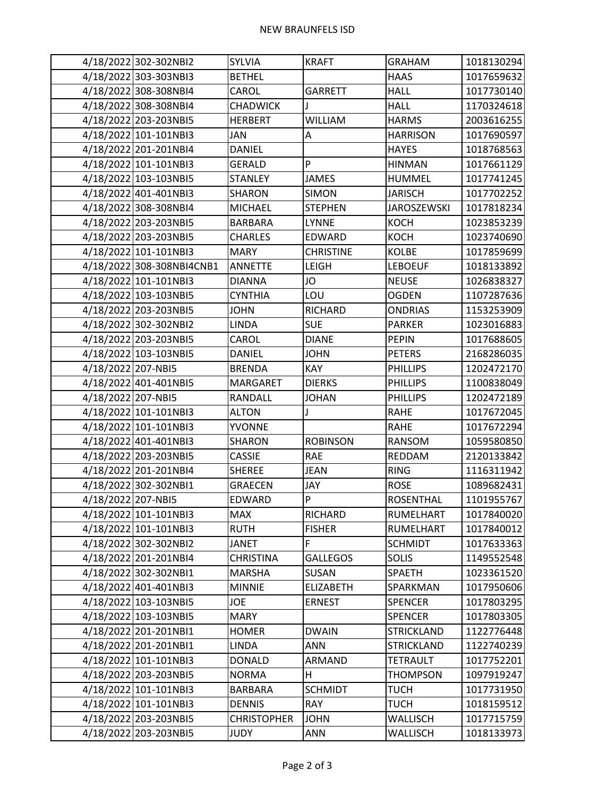## NEW BRAUNFELS ISD

|                    | 4/18/2022 302-302NBI2     | <b>SYLVIA</b>      | <b>KRAFT</b>              | <b>GRAHAM</b>      | 1018130294 |
|--------------------|---------------------------|--------------------|---------------------------|--------------------|------------|
|                    | 4/18/2022 303-303NBI3     | <b>BETHEL</b>      |                           | <b>HAAS</b>        | 1017659632 |
|                    | 4/18/2022 308-308NBI4     | CAROL              | <b>GARRETT</b>            | <b>HALL</b>        | 1017730140 |
|                    | 4/18/2022 308-308NBI4     | <b>CHADWICK</b>    | J                         | <b>HALL</b>        | 1170324618 |
|                    | 4/18/2022 203-203NBI5     | <b>HERBERT</b>     | <b>WILLIAM</b>            | <b>HARMS</b>       | 2003616255 |
|                    | 4/18/2022 101-101NBI3     | JAN                | A                         | <b>HARRISON</b>    | 1017690597 |
|                    | 4/18/2022 201-201NBI4     | <b>DANIEL</b>      |                           | <b>HAYES</b>       | 1018768563 |
|                    | 4/18/2022 101-101NBI3     | <b>GERALD</b>      | P                         | <b>HINMAN</b>      | 1017661129 |
|                    | 4/18/2022 103-103NBI5     | <b>STANLEY</b>     | <b>JAMES</b>              | <b>HUMMEL</b>      | 1017741245 |
|                    | 4/18/2022 401-401NBI3     | SHARON             | <b>SIMON</b>              | <b>JARISCH</b>     | 1017702252 |
|                    | 4/18/2022 308-308NBI4     | <b>MICHAEL</b>     | <b>STEPHEN</b>            | <b>JAROSZEWSKI</b> | 1017818234 |
|                    | 4/18/2022 203-203NBI5     | <b>BARBARA</b>     | <b>LYNNE</b>              | <b>KOCH</b>        | 1023853239 |
|                    | 4/18/2022 203-203NBI5     | <b>CHARLES</b>     | EDWARD                    | <b>KOCH</b>        | 1023740690 |
|                    | 4/18/2022 101-101NBI3     | <b>MARY</b>        | <b>CHRISTINE</b>          | <b>KOLBE</b>       | 1017859699 |
|                    | 4/18/2022 308-308NBI4CNB1 | <b>ANNETTE</b>     | <b>LEIGH</b>              | <b>LEBOEUF</b>     | 1018133892 |
|                    | 4/18/2022 101-101NBI3     | <b>DIANNA</b>      | JO                        | <b>NEUSE</b>       | 1026838327 |
|                    | 4/18/2022 103-103NBI5     | <b>CYNTHIA</b>     | LOU                       | <b>OGDEN</b>       | 1107287636 |
|                    | 4/18/2022 203-203NBI5     | <b>JOHN</b>        | <b>RICHARD</b>            | <b>ONDRIAS</b>     | 1153253909 |
|                    | 4/18/2022 302-302NBI2     | <b>LINDA</b>       | <b>SUE</b>                | <b>PARKER</b>      | 1023016883 |
|                    | 4/18/2022 203-203NBI5     | CAROL              | <b>DIANE</b>              | <b>PEPIN</b>       | 1017688605 |
|                    | 4/18/2022 103-103NBI5     | <b>DANIEL</b>      | <b>JOHN</b>               | <b>PETERS</b>      | 2168286035 |
| 4/18/2022 207-NBI5 |                           | <b>BRENDA</b>      | <b>KAY</b>                | <b>PHILLIPS</b>    | 1202472170 |
|                    | 4/18/2022 401-401NBI5     | MARGARET           | <b>DIERKS</b>             | <b>PHILLIPS</b>    | 1100838049 |
| 4/18/2022 207-NBI5 |                           | RANDALL            | <b>JOHAN</b>              | <b>PHILLIPS</b>    | 1202472189 |
|                    | 4/18/2022 101-101NBI3     | <b>ALTON</b>       | J                         | <b>RAHE</b>        | 1017672045 |
|                    | 4/18/2022 101-101NBI3     | <b>YVONNE</b>      |                           | <b>RAHE</b>        | 1017672294 |
|                    | 4/18/2022 401-401NBI3     | <b>SHARON</b>      | <b>ROBINSON</b>           | RANSOM             | 1059580850 |
|                    | 4/18/2022 203-203NBI5     | <b>CASSIE</b>      | <b>RAE</b>                | REDDAM             | 2120133842 |
|                    | 4/18/2022 201-201NBI4     | <b>SHEREE</b>      | <b>JEAN</b>               | <b>RING</b>        | 1116311942 |
|                    | 4/18/2022 302-302NBI1     | <b>GRAECEN</b>     | JAY                       | <b>ROSE</b>        | 1089682431 |
| 4/18/2022 207-NBI5 |                           | <b>EDWARD</b>      | $\boldsymbol{\mathsf{P}}$ | <b>ROSENTHAL</b>   | 1101955767 |
|                    | 4/18/2022 101-101NBI3     | MAX                | RICHARD                   | RUMELHART          | 1017840020 |
|                    | 4/18/2022 101-101NBI3     | <b>RUTH</b>        | <b>FISHER</b>             | RUMELHART          | 1017840012 |
|                    | 4/18/2022 302-302NBI2     | <b>JANET</b>       | F                         | <b>SCHMIDT</b>     | 1017633363 |
|                    | 4/18/2022 201-201NBI4     | <b>CHRISTINA</b>   | <b>GALLEGOS</b>           | <b>SOLIS</b>       | 1149552548 |
|                    | 4/18/2022 302-302NBI1     | <b>MARSHA</b>      | SUSAN                     | <b>SPAETH</b>      | 1023361520 |
|                    | 4/18/2022 401-401NBI3     | <b>MINNIE</b>      | <b>ELIZABETH</b>          | SPARKMAN           | 1017950606 |
|                    | 4/18/2022 103-103NBI5     | JOE                | <b>ERNEST</b>             | <b>SPENCER</b>     | 1017803295 |
|                    | 4/18/2022 103-103NBI5     | <b>MARY</b>        |                           | <b>SPENCER</b>     | 1017803305 |
|                    | 4/18/2022 201-201NBI1     | <b>HOMER</b>       | <b>DWAIN</b>              | <b>STRICKLAND</b>  | 1122776448 |
|                    | 4/18/2022 201-201NBI1     | LINDA              | ANN                       | <b>STRICKLAND</b>  | 1122740239 |
|                    | 4/18/2022 101-101NBI3     | <b>DONALD</b>      | ARMAND                    | <b>TETRAULT</b>    | 1017752201 |
|                    | 4/18/2022 203-203NBI5     | <b>NORMA</b>       | н                         | <b>THOMPSON</b>    | 1097919247 |
|                    | 4/18/2022 101-101NBI3     | <b>BARBARA</b>     | <b>SCHMIDT</b>            | <b>TUCH</b>        | 1017731950 |
|                    | 4/18/2022 101-101NBI3     | <b>DENNIS</b>      | <b>RAY</b>                | <b>TUCH</b>        | 1018159512 |
|                    | 4/18/2022 203-203NBI5     | <b>CHRISTOPHER</b> | <b>JOHN</b>               | WALLISCH           | 1017715759 |
|                    | 4/18/2022 203-203NBI5     | <b>JUDY</b>        | <b>ANN</b>                | WALLISCH           | 1018133973 |